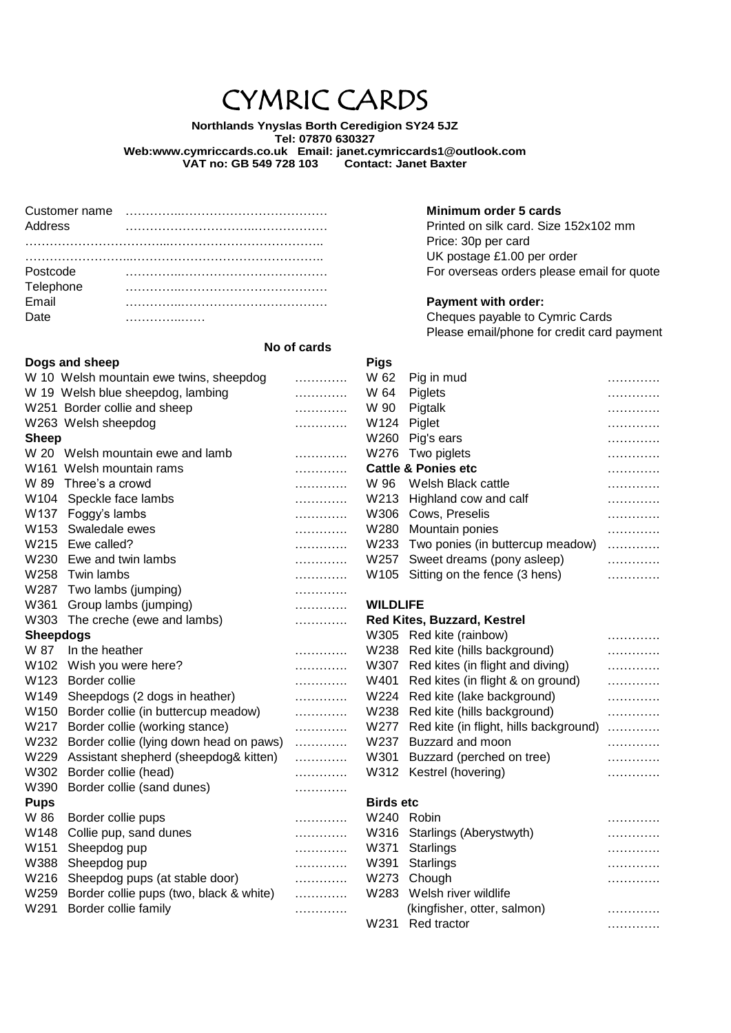# CYMRIC CARDS

**Northlands Ynyslas Borth Ceredigion SY24 5JZ Tel: 07870 630327 Web:www.cymriccards.co.uk Email: janet.cymriccards1@outlook.com VAT no: GB 549 728 103** 

| Address   |  |
|-----------|--|
|           |  |
|           |  |
| Postcode  |  |
| Telephone |  |
| Email     |  |
| Date      |  |

# **No of cards**

|                  | Dogs and sheep                           |   | <b>Pigs</b>      |                                             |   |
|------------------|------------------------------------------|---|------------------|---------------------------------------------|---|
|                  | W 10 Welsh mountain ewe twins, sheepdog  | . | W 62             | Pig in mud                                  | . |
|                  | W 19 Welsh blue sheepdog, lambing        | . | W 64             | Piglets                                     | . |
|                  | W251 Border collie and sheep             | . | W 90             | Pigtalk                                     | . |
|                  | W263 Welsh sheepdog                      | . | W124             | Piglet                                      | . |
| <b>Sheep</b>     |                                          |   |                  | W260 Pig's ears                             | . |
|                  | W 20 Welsh mountain ewe and lamb         | . |                  | W276 Two piglets                            | . |
|                  | W <sub>161</sub> Welsh mountain rams     | . |                  | <b>Cattle &amp; Ponies etc</b>              | . |
| W 89             | Three's a crowd                          | . | W 96             | Welsh Black cattle                          | . |
| W104             | Speckle face lambs                       | . | W213             | Highland cow and calf                       | . |
| W137             | Foggy's lambs                            | . | W306             | Cows, Preselis                              | . |
| W153             | Swaledale ewes                           | . | W280             | Mountain ponies                             | . |
|                  | W215 Ewe called?                         | . | W233             | Two ponies (in buttercup meadow)            | . |
|                  | W230 Ewe and twin lambs                  | . |                  | W257 Sweet dreams (pony asleep)             | . |
|                  | W258 Twin lambs                          | . |                  | W105 Sitting on the fence (3 hens)          | . |
|                  | W287 Two lambs (jumping)                 | . |                  |                                             |   |
| W361             | Group lambs (jumping)                    | . | <b>WILDLIFE</b>  |                                             |   |
| W303             | The creche (ewe and lambs)               | . |                  | Red Kites, Buzzard, Kestrel                 |   |
| <b>Sheepdogs</b> |                                          |   |                  | W305 Red kite (rainbow)                     | . |
| W 87             | In the heather                           | . |                  | W238 Red kite (hills background)            | . |
|                  | W102 Wish you were here?                 | . |                  | W307 Red kites (in flight and diving)       | . |
| W123             | Border collie                            | . |                  | W401 Red kites (in flight & on ground)      | . |
| W149             | Sheepdogs (2 dogs in heather)            | . |                  | W224 Red kite (lake background)             | . |
|                  | W150 Border collie (in buttercup meadow) | . |                  | W238 Red kite (hills background)            | . |
|                  | W217 Border collie (working stance)      | . |                  | W277 Red kite (in flight, hills background) | . |
| W232             | Border collie (lying down head on paws)  | . | W237             | Buzzard and moon                            | . |
| W229             | Assistant shepherd (sheepdog& kitten)    | . | W301             | Buzzard (perched on tree)                   | . |
| W302             | Border collie (head)                     | . |                  | W312 Kestrel (hovering)                     | . |
| W390             | Border collie (sand dunes)               | . |                  |                                             |   |
| <b>Pups</b>      |                                          |   | <b>Birds etc</b> |                                             |   |
| W 86             | Border collie pups                       | . | W240 Robin       |                                             | . |
| W148             | Collie pup, sand dunes                   | . |                  | W316 Starlings (Aberystwyth)                | . |
| W151             | Sheepdog pup                             | . | W371             | Starlings                                   | . |
| W388             | Sheepdog pup                             | . | W391             | Starlings                                   | . |
| W216             | Sheepdog pups (at stable door)           | . | W273             | Chough                                      | . |
| W259             | Border collie pups (two, black & white)  | . | W283             | Welsh river wildlife                        |   |
| W291             | Border collie family                     |   |                  | (kingfisher otter salmon)                   |   |

**Minimum order 5 cards** Printed on silk card. Size 152x102 mm Price: 30p per card UK postage £1.00 per order For overseas orders please email for quote

#### **Payment with order:**

Cheques payable to Cymric Cards Please email/phone for credit card payment

| W 62   | Pig in mud                            |   |
|--------|---------------------------------------|---|
| W 64   | Piglets                               |   |
| W 90   | Pigtalk                               |   |
| W124 - | Piglet                                |   |
|        | W260 Pig's ears                       |   |
|        | W276 Two piglets                      |   |
|        | Cattle & Ponies etc                   |   |
|        | W 96 Welsh Black cattle               |   |
|        | W213 Highland cow and calf            |   |
|        | W306 Cows, Preselis                   |   |
|        | W280 Mountain ponies                  |   |
|        | W233 Two ponies (in buttercup meadow) | . |
|        | W257 Sweet dreams (pony asleep)       | . |
|        | W105 Sitting on the fence (3 hens)    | . |
|        |                                       |   |

#### **WILDLIFE**

#### **Red Kites, Buzzard, Kestrel**

| W305             | Red kite (rainbow)                     |   |
|------------------|----------------------------------------|---|
| W238             | Red kite (hills background)            | . |
| W307             | Red kites (in flight and diving)       | . |
| W401             | Red kites (in flight & on ground)      | . |
| W224             | Red kite (lake background)             | . |
| W238             | Red kite (hills background)            | . |
| W277             | Red kite (in flight, hills background) | . |
| W237             | Buzzard and moon                       | . |
| W301             | Buzzard (perched on tree)              | . |
| W312             | Kestrel (hovering)                     | . |
| <b>Birds etc</b> |                                        |   |
|                  |                                        |   |
| W240             | Robin                                  |   |
|                  | W316 Starlings (Aberystwyth)           |   |
| 11/271           | Starlinge                              |   |

| www.comediacoptacture.                       |   |                             | .                                                                              |
|----------------------------------------------|---|-----------------------------|--------------------------------------------------------------------------------|
| W388 Sheepdog pup                            |   |                             | .                                                                              |
| W216 Sheepdog pups (at stable door)          |   |                             | .                                                                              |
| W259 Border collie pups (two, black & white) |   |                             |                                                                                |
| W291 Border collie family                    | . | (kingfisher, otter, salmon) | .                                                                              |
|                                              |   |                             | .                                                                              |
|                                              |   |                             | W391 Starlings<br>W273 Chough<br>W283 Welsh river wildlife<br>W231 Red tractor |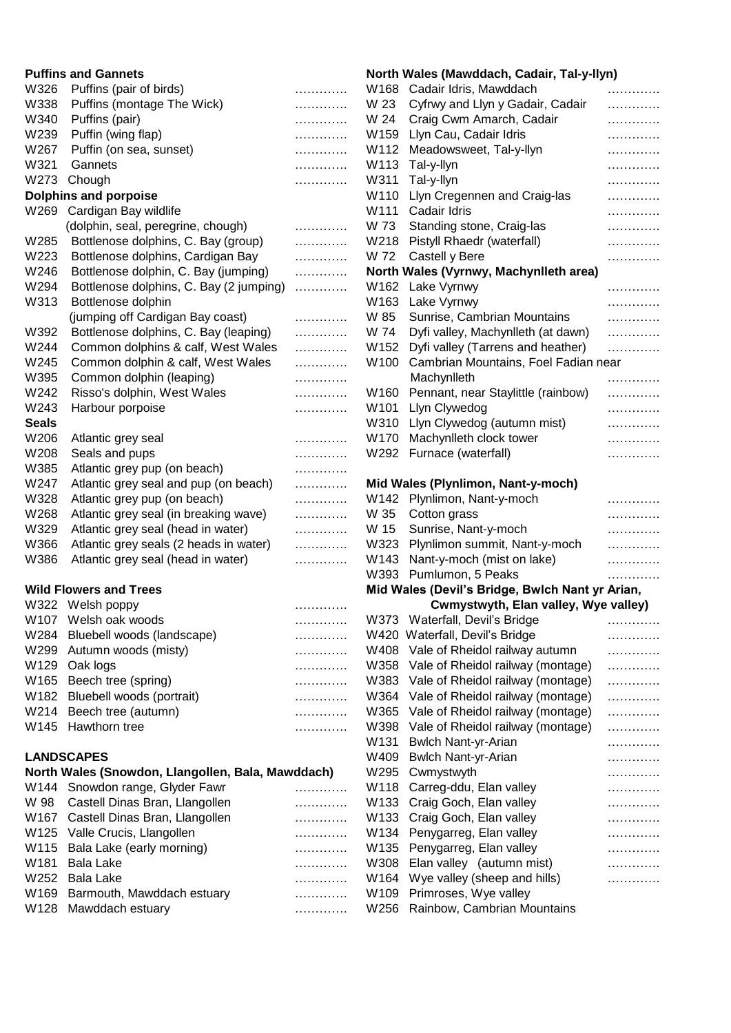|              | <b>Puffins and Gannets</b><br>North Wales (Mawddach, Cadair, Tal-y-llyn) |   |      |                                                 |   |
|--------------|--------------------------------------------------------------------------|---|------|-------------------------------------------------|---|
| W326         | Puffins (pair of birds)                                                  | . |      | W168 Cadair Idris, Mawddach                     | . |
| W338         | Puffins (montage The Wick)                                               | . | W 23 | Cyfrwy and Llyn y Gadair, Cadair                | . |
| W340         | Puffins (pair)                                                           | . | W 24 | Craig Cwm Amarch, Cadair                        | . |
| W239         | Puffin (wing flap)                                                       | . |      | W159 Llyn Cau, Cadair Idris                     | . |
| W267         | Puffin (on sea, sunset)                                                  | . |      | W112 Meadowsweet, Tal-y-llyn                    | . |
| W321         | Gannets                                                                  | . |      | W113 Tal-y-llyn                                 | . |
| W273         | Chough                                                                   | . |      | W311 Tal-y-llyn                                 | . |
|              | <b>Dolphins and porpoise</b>                                             |   | W110 | Llyn Cregennen and Craig-las                    | . |
| W269         | Cardigan Bay wildlife                                                    |   |      | W111 Cadair Idris                               | . |
|              | (dolphin, seal, peregrine, chough)                                       | . | W 73 | Standing stone, Craig-las                       | . |
| W285         | Bottlenose dolphins, C. Bay (group)                                      | . |      | W218 Pistyll Rhaedr (waterfall)                 | . |
| W223         | Bottlenose dolphins, Cardigan Bay                                        | . | W 72 | Castell y Bere                                  | . |
| W246         | Bottlenose dolphin, C. Bay (jumping)                                     | . |      | North Wales (Vyrnwy, Machynlleth area)          |   |
| W294         | Bottlenose dolphins, C. Bay (2 jumping)                                  | . |      | W162 Lake Vyrnwy                                | . |
| W313         | Bottlenose dolphin                                                       |   |      | W163 Lake Vyrnwy                                | . |
|              | (jumping off Cardigan Bay coast)                                         | . | W 85 | Sunrise, Cambrian Mountains                     | . |
| W392         | Bottlenose dolphins, C. Bay (leaping)                                    | . | W 74 | Dyfi valley, Machynlleth (at dawn)              | . |
| W244         | Common dolphins & calf, West Wales                                       | . |      | W152 Dyfi valley (Tarrens and heather)          | . |
| W245         | Common dolphin & calf, West Wales                                        | . |      | W100 Cambrian Mountains, Foel Fadian near       |   |
| W395         | Common dolphin (leaping)                                                 | . |      | Machynlleth                                     | . |
| W242         | Risso's dolphin, West Wales                                              | . |      | W160 Pennant, near Staylittle (rainbow)         | . |
| W243         | Harbour porpoise                                                         | . | W101 | Llyn Clywedog                                   | . |
| <b>Seals</b> |                                                                          |   | W310 | Llyn Clywedog (autumn mist)                     | . |
| W206         | Atlantic grey seal                                                       | . | W170 | Machynlleth clock tower                         | . |
| W208         | Seals and pups                                                           | . |      | W292 Furnace (waterfall)                        | . |
| W385         | Atlantic grey pup (on beach)                                             | . |      |                                                 |   |
| W247         | Atlantic grey seal and pup (on beach)                                    | . |      | Mid Wales (Plynlimon, Nant-y-moch)              |   |
| W328         | Atlantic grey pup (on beach)                                             | . |      | W142 Plynlimon, Nant-y-moch                     | . |
| W268         | Atlantic grey seal (in breaking wave)                                    | . | W 35 | Cotton grass                                    | . |
| W329         | Atlantic grey seal (head in water)                                       | . | W 15 | Sunrise, Nant-y-moch                            | . |
| W366         | Atlantic grey seals (2 heads in water)                                   | . |      | W323 Plynlimon summit, Nant-y-moch              | . |
| W386         | Atlantic grey seal (head in water)                                       | . |      | W143 Nant-y-moch (mist on lake)                 | . |
|              |                                                                          |   |      | W393 Pumlumon, 5 Peaks                          |   |
|              | <b>Wild Flowers and Trees</b>                                            |   |      | Mid Wales (Devil's Bridge, Bwlch Nant yr Arian, | . |
|              | W322 Welsh poppy                                                         |   |      | Cwmystwyth, Elan valley, Wye valley)            |   |
|              | W107 Welsh oak woods                                                     | . |      | W373 Waterfall, Devil's Bridge                  |   |
|              | W284 Bluebell woods (landscape)                                          | . |      | W420 Waterfall, Devil's Bridge                  | . |
|              |                                                                          | . |      |                                                 | . |
|              | W299 Autumn woods (misty)<br>W129 Oak logs                               | . |      | W408 Vale of Rheidol railway autumn             | . |
|              |                                                                          | . |      | W358 Vale of Rheidol railway (montage)          | . |
|              | W165 Beech tree (spring)                                                 | . |      | W383 Vale of Rheidol railway (montage)          | . |
|              | W182 Bluebell woods (portrait)                                           | . |      | W364 Vale of Rheidol railway (montage)          | . |
| W214         | Beech tree (autumn)                                                      | . |      | W365 Vale of Rheidol railway (montage)          | . |
| W145         | Hawthorn tree                                                            | . |      | W398 Vale of Rheidol railway (montage)          | . |
|              |                                                                          |   |      | W131 Bwlch Nant-yr-Arian                        | . |
|              | <b>LANDSCAPES</b>                                                        |   |      | W409 Bwlch Nant-yr-Arian                        | . |
|              | North Wales (Snowdon, Llangollen, Bala, Mawddach)                        |   |      | W295 Cwmystwyth                                 | . |
|              | W144 Snowdon range, Glyder Fawr                                          | . |      | W118 Carreg-ddu, Elan valley                    | . |
|              | W 98 Castell Dinas Bran, Llangollen                                      | . |      | W133 Craig Goch, Elan valley                    | . |
|              | W167 Castell Dinas Bran, Llangollen                                      | . |      | W133 Craig Goch, Elan valley                    | . |
|              | W125 Valle Crucis, Llangollen                                            | . |      | W134 Penygarreg, Elan valley                    | . |
|              | W115 Bala Lake (early morning)                                           | . |      | W135 Penygarreg, Elan valley                    | . |
| W181         | <b>Bala Lake</b>                                                         | . |      | W308 Elan valley (autumn mist)                  | . |
|              | W252 Bala Lake                                                           | . |      | W164 Wye valley (sheep and hills)               | . |
|              | W169 Barmouth, Mawddach estuary                                          | . |      | W109 Primroses, Wye valley                      |   |
|              | W128 Mawddach estuary                                                    | . |      | W256 Rainbow, Cambrian Mountains                |   |

## **Puffins and Gannets North Wales (Mawddach, Cadair, Tal-y-llyn)**

| וזטושו           | <b><i>riales (mawddach, Gauan, Tai-y-nyn)</i></b> |                       |
|------------------|---------------------------------------------------|-----------------------|
| W168             | Cadair Idris, Mawddach                            | .                     |
| W 23             | Cyfrwy and Llyn y Gadair, Cadair                  | .                     |
| W 24             | Craig Cwm Amarch, Cadair                          | .                     |
| W159             | Llyn Cau, Cadair Idris                            | .                     |
| W112             | Meadowsweet, Tal-y-llyn                           | .                     |
| W113             | Tal-y-llyn                                        | .                     |
| W311             | Tal-y-llyn                                        | .                     |
| W110             | Llyn Cregennen and Craig-las                      | .                     |
| W111             | Cadair Idris                                      | .                     |
| W 73             | Standing stone, Craig-las                         | .                     |
| W218             | Pistyll Rhaedr (waterfall)                        | .                     |
| W 72             | Castell y Bere                                    | .                     |
|                  | North Wales (Vyrnwy, Machynlleth area)            |                       |
| W162             | Lake Vyrnwy                                       | .                     |
| W163             | Lake Vyrnwy                                       | .                     |
| W 85             | Sunrise, Cambrian Mountains                       | .                     |
| W 74             | Dyfi valley, Machynlleth (at dawn)                | .                     |
| W152             | Dyfi valley (Tarrens and heather)                 | .                     |
| W100             | Cambrian Mountains, Foel Fadian near              |                       |
|                  | Machynlleth                                       | .                     |
| W160             | Pennant, near Staylittle (rainbow)                | .                     |
| W101             | Llyn Clywedog                                     | .                     |
| W310             | Llyn Clywedog (autumn mist)                       | .                     |
| W170             | Machynlleth clock tower                           | .                     |
| W292             | Furnace (waterfall)                               | .                     |
|                  | Mid Wales (Plynlimon, Nant-y-moch)                |                       |
| W142             | Plynlimon, Nant-y-moch                            | .                     |
| W 35             | Cotton grass                                      | .                     |
| W 15             | Sunrise, Nant-y-moch                              | .                     |
| W323             | Plynlimon summit, Nant-y-moch                     | .                     |
| W143             | Nant-y-moch (mist on lake)                        | .                     |
| W393             | Pumlumon, 5 Peaks                                 | .                     |
|                  | Mid Wales (Devil's Bridge, Bwlch Nant yr Arian,   |                       |
|                  | Cwmystwyth, Elan valley, Wye valley)              |                       |
| W373             | Waterfall, Devil's Bridge                         | _____________________ |
| W420             | Waterfall, Devil's Bridge                         | .                     |
| W408             | Vale of Rheidol railway autumn                    | .                     |
| W358             | Vale of Rheidol railway (montage)                 | .                     |
| W383             | Vale of Rheidol railway (montage)                 | .                     |
| W364             | Vale of Rheidol railway (montage)                 | .                     |
| W365             | Vale of Rheidol railway (montage)                 | .                     |
| W398             | Vale of Rheidol railway (montage)                 | .                     |
| W <sub>131</sub> | <b>Bwlch Nant-yr-Arian</b>                        | .                     |
| W409             | <b>Bwlch Nant-yr-Arian</b>                        | .                     |
| W295             | Cwmystwyth                                        | .                     |
| W118             | Carreg-ddu, Elan valley                           | .                     |
| W133             | Craig Goch, Elan valley                           | .                     |
| W133             | Craig Goch, Elan valley                           | .                     |
|                  |                                                   |                       |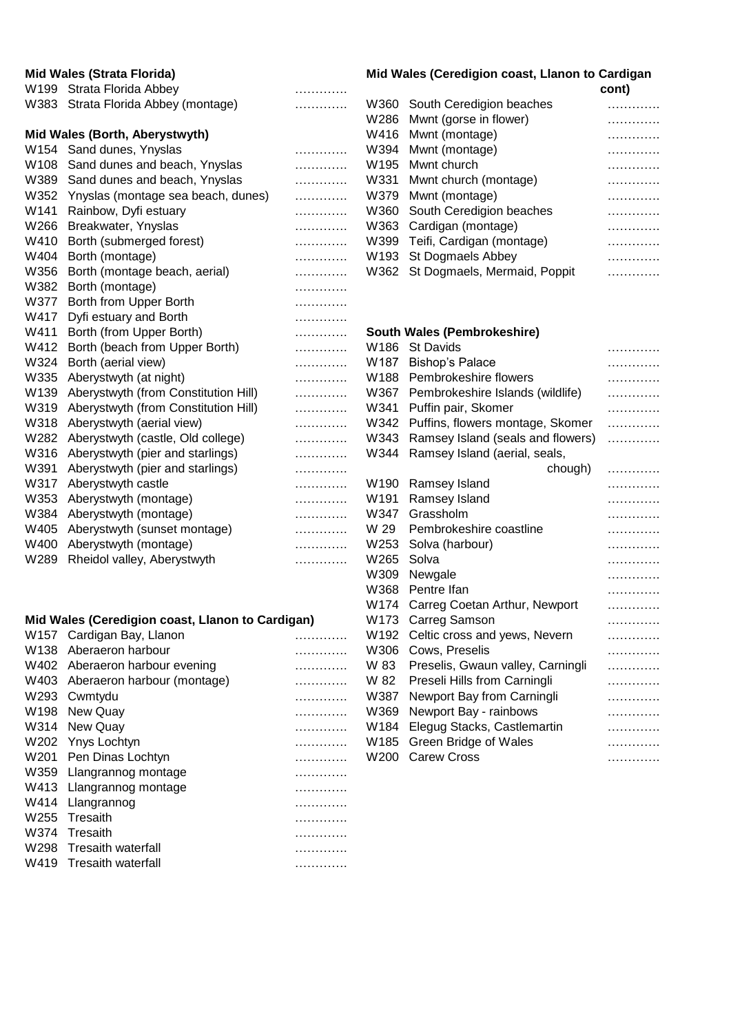| <b>Mid Wales (Strata Florida)</b> |                                           |   |      | Mid Wales (Ceredigion coast, Llanon to Cardigan |       |
|-----------------------------------|-------------------------------------------|---|------|-------------------------------------------------|-------|
|                                   | W199 Strata Florida Abbey                 | . |      |                                                 | cont) |
|                                   | W383 Strata Florida Abbey (montage)       | . |      | W360 South Ceredigion beaches                   | .     |
|                                   |                                           |   |      | W286 Mwnt (gorse in flower)                     | .     |
|                                   | Mid Wales (Borth, Aberystwyth)            |   | W416 | Mwnt (montage)                                  | .     |
|                                   | W154 Sand dunes, Ynyslas                  | . | W394 | Mwnt (montage)                                  | .     |
| W108                              | Sand dunes and beach, Ynyslas             | . | W195 | Mwnt church                                     | .     |
|                                   | W389 Sand dunes and beach, Ynyslas        | . |      | W331 Mwnt church (montage)                      | .     |
|                                   | W352 Ynyslas (montage sea beach, dunes)   | . |      | W379 Mwnt (montage)                             | .     |
| W141                              | Rainbow, Dyfi estuary                     | . | W360 | South Ceredigion beaches                        | .     |
| W266                              | Breakwater, Ynyslas                       | . | W363 | Cardigan (montage)                              | .     |
| W410                              | Borth (submerged forest)                  | . | W399 | Teifi, Cardigan (montage)                       | .     |
| W404                              | Borth (montage)                           | . | W193 | St Dogmaels Abbey                               | .     |
| W356                              | Borth (montage beach, aerial)             | . | W362 | St Dogmaels, Mermaid, Poppit                    | .     |
| W382                              | Borth (montage)                           | . |      |                                                 |       |
| W377                              | Borth from Upper Borth                    | . |      |                                                 |       |
| W417                              | Dyfi estuary and Borth                    | . |      |                                                 |       |
| W411                              | Borth (from Upper Borth)                  | . |      | South Wales (Pembrokeshire)                     |       |
| W412                              | Borth (beach from Upper Borth)            | . | W186 | <b>St Davids</b>                                | .     |
| W324                              | Borth (aerial view)                       | . | W187 | <b>Bishop's Palace</b>                          | .     |
| W335                              | Aberystwyth (at night)                    | . |      | W188 Pembrokeshire flowers                      | .     |
|                                   | W139 Aberystwyth (from Constitution Hill) | . |      | W367 Pembrokeshire Islands (wildlife)           | .     |
| W319                              | Aberystwyth (from Constitution Hill)      | . | W341 | Puffin pair, Skomer                             | .     |
| W318                              | Aberystwyth (aerial view)                 | . | W342 | Puffins, flowers montage, Skomer                | .     |
| W282                              | Aberystwyth (castle, Old college)         | . | W343 | Ramsey Island (seals and flowers)               | .     |
|                                   | W316 Aberystwyth (pier and starlings)     | . | W344 | Ramsey Island (aerial, seals,                   |       |
| W391                              | Aberystwyth (pier and starlings)          | . |      | chough)                                         | .     |
| W317                              | Aberystwyth castle                        | . | W190 | Ramsey Island                                   | .     |
| W353                              | Aberystwyth (montage)                     | . | W191 | Ramsey Island                                   | .     |
| W384                              | Aberystwyth (montage)                     | . | W347 | Grassholm                                       | .     |
| W405                              | Aberystwyth (sunset montage)              | . | W 29 | Pembrokeshire coastline                         | .     |
| W400                              | Aberystwyth (montage)                     | . | W253 | Solva (harbour)                                 | .     |
| W289                              | Rheidol valley, Aberystwyth               | . | W265 | Solva                                           | .     |
|                                   |                                           |   |      |                                                 |       |

# **Mid Wales (Ceredigion coast, Llanon to Cardigan)**

| W157 Cardigan Bay, Llanon        |   | W192 Celtic cross and yews, Nevern     | . |
|----------------------------------|---|----------------------------------------|---|
| W138 Aberaeron harbour           | . | W306 Cows, Preselis                    | . |
| W402 Aberaeron harbour evening   | . | W 83 Preselis, Gwaun valley, Carningli | . |
| W403 Aberaeron harbour (montage) | . | W 82 Preseli Hills from Carningli      | . |
| W293 Cwmtydu                     | . | W387 Newport Bay from Carningli        | . |
| W198 New Quay                    | . | W369 Newport Bay - rainbows            | . |
| W314 New Quay                    | . | W184 Elegug Stacks, Castlemartin       | . |
| W202 Ynys Lochtyn                | . | W185 Green Bridge of Wales             | . |
| W201 Pen Dinas Lochtyn           | . | W200 Carew Cross                       | . |
| W359 Llangrannog montage         | . |                                        |   |
| W413 Llangrannog montage         | . |                                        |   |
| W414 Llangrannog                 | . |                                        |   |
| W255 Tresaith                    | . |                                        |   |
| W374 Tresaith                    | . |                                        |   |
| W298 Tresaith waterfall          | . |                                        |   |
| W419 Tresaith waterfall          | . |                                        |   |
|                                  |   |                                        |   |

# **Mid Wales (Ceredigion coast, Llanon to Cardigan**

| ont |  |
|-----|--|
|     |  |

| W360 South Ceredigion beaches     |   |
|-----------------------------------|---|
| W286 Mwnt (gorse in flower)       | . |
| W416 Mwnt (montage)               |   |
| W394 Mwnt (montage)               |   |
| W195 Mwnt church                  |   |
| W331 Mwnt church (montage)        | . |
| W379 Mwnt (montage)               |   |
| W360 South Ceredigion beaches     |   |
| W363 Cardigan (montage)           |   |
| W399 Teifi, Cardigan (montage)    |   |
| W193 St Dogmaels Abbey            |   |
| W362 St Dogmaels, Mermaid, Poppit |   |
|                                   |   |

|                  | <b>South Wales (Pembrokeshire)</b> |   |
|------------------|------------------------------------|---|
| W186             | <b>St Davids</b>                   | . |
| W187             | <b>Bishop's Palace</b>             | . |
| W188             | Pembrokeshire flowers              | . |
| W367             | Pembrokeshire Islands (wildlife)   | . |
| W341             | Puffin pair, Skomer                | . |
| W342             | Puffins, flowers montage, Skomer   | . |
| W343             | Ramsey Island (seals and flowers)  | . |
| W344             | Ramsey Island (aerial, seals,      |   |
|                  | chough)                            | . |
| W190             | Ramsey Island                      | . |
| W <sub>191</sub> | Ramsey Island                      | . |
| W347             | Grassholm                          | . |
| W 29             | Pembrokeshire coastline            | . |
| W253             | Solva (harbour)                    | . |
| W265             | Solva                              | . |
| W309             | Newgale                            | . |
| W368             | Pentre Ifan                        | . |
| W174             | Carreg Coetan Arthur, Newport      | . |
| W173             | Carreg Samson                      | . |
| W <sub>192</sub> | Celtic cross and yews, Nevern      | . |
| W306             | Cows, Preselis                     | . |
| W 83             | Preselis, Gwaun valley, Carningli  | . |
| W 82             | Preseli Hills from Carningli       | . |
| W387             | Newport Bay from Carningli         | . |
| W369             | Newport Bay - rainbows             | . |
| W184             | Elegug Stacks, Castlemartin        | . |
| W185             | <b>Green Bridge of Wales</b>       | . |
| W200             | <b>Carew Cross</b>                 | . |